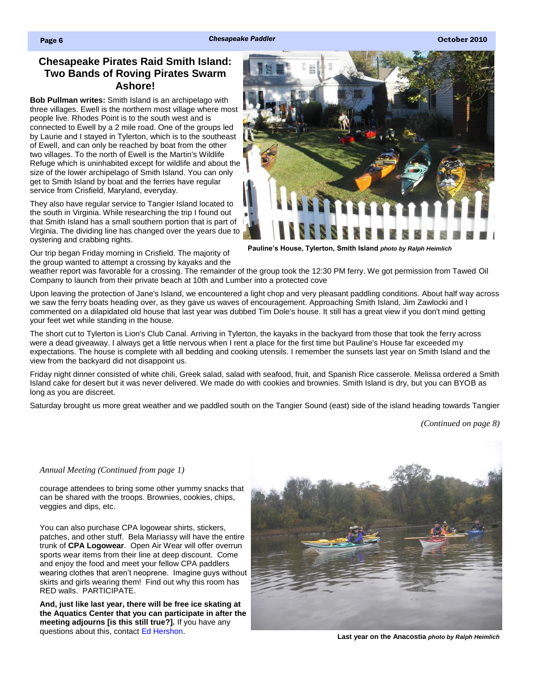## **Chesapeake Pirates Raid Smith Island: Two Bands of Roving Pirates Swarm Ashore!**

**Bob Pullman writes:** Smith Island is an archipelago with three villages. Ewell is the northern most village where most people live. Rhodes Point is to the south west and is connected to Ewell by a 2 mile road. One of the groups led by Laurie and I stayed in Tylerton, which is to the southeast of Ewell, and can only be reached by boat from the other two villages. To the north of Ewell is the Martin's Wildlife Refuge which is uninhabited except for wildlife and about the size of the lower archipelago of Smith Island. You can only get to Smith Island by boat and the ferries have regular service from Crisfield, Maryland, everyday.

They also have regular service to Tangier Island located to the south in Virginia. While researching the trip I found out that Smith Island has a small southern portion that is part of Virginia. The dividing line has changed over the years due to oystering and crabbing rights.

Our trip began Friday morning in Crisfield. The majority of the group wanted to attempt a crossing by kayaks and the



**Pauline's House, Tylerton, Smith Island** *photo by Ralph Heimlich*

weather report was favorable for a crossing. The remainder of the group took the 12:30 PM ferry. We got permission from Tawed Oil Company to launch from their private beach at 10th and Lumber into a protected cove

Upon leaving the protection of Jane's Island, we encountered a light chop and very pleasant paddling conditions. About half way across we saw the ferry boats heading over, as they gave us waves of encouragement. Approaching Smith Island, Jim Zawlocki and I commented on a dilapidated old house that last year was dubbed Tim Dole's house. It still has a great view if you don't mind getting your feet wet while standing in the house.

The short cut to Tylerton is Lion's Club Canal. Arriving in Tylerton, the kayaks in the backyard from those that took the ferry across were a dead giveaway. I always get a little nervous when I rent a place for the first time but Pauline's House far exceeded my expectations. The house is complete with all bedding and cooking utensils. I remember the sunsets last year on Smith Island and the view from the backyard did not disappoint us.

Friday night dinner consisted of white chili, Greek salad, salad with seafood, fruit, and Spanish Rice casserole. Melissa ordered a Smith Island cake for desert but it was never delivered. We made do with cookies and brownies. Smith Island is dry, but you can BYOB as long as you are discreet.

Saturday brought us more great weather and we paddled south on the Tangier Sound (east) side of the island heading towards Tangier

*[\(Continued on page 8\)](#page-1-0)*

## *Annual Meeting (Continued from page 1)*

courage attendees to bring some other yummy snacks that can be shared with the troops. Brownies, cookies, chips, veggies and dips, etc.

You can also purchase CPA logowear shirts, stickers, patches, and other stuff. Bela Mariassy will have the entire trunk of **CPA Logowear**. Open Air Wear will offer overrun sports wear items from their line at deep discount. Come and enjoy the food and meet your fellow CPA paddlers wearing clothes that aren't neoprene. Imagine guys without skirts and girls wearing them! Find out why this room has RED walls. PARTICIPATE.

**And, just like last year, there will be free ice skating at the Aquatics Center that you can participate in after the meeting adjourns [is this still true?].** If you have any questions about this, contact [Ed Hershon.](mailto:coordinator@cpakayaker.com) 



**Last year on the Anacostia** *photo by Ralph Heimlich*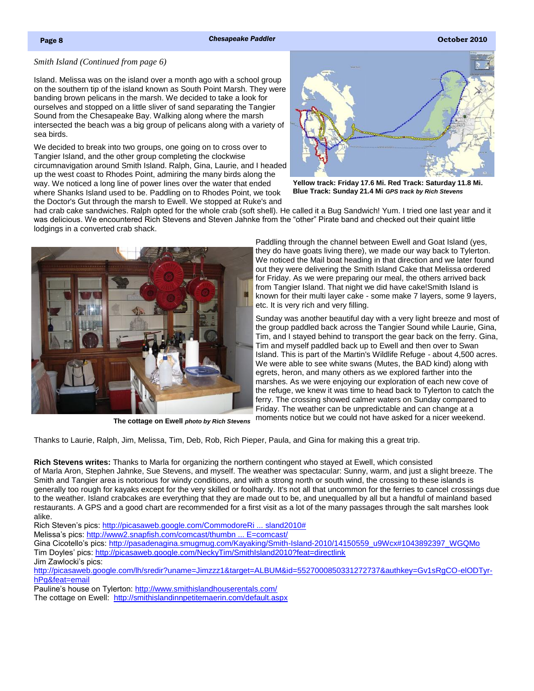### <span id="page-1-0"></span>*Smith Island (Continued from page 6)*

Island. Melissa was on the island over a month ago with a school group on the southern tip of the island known as South Point Marsh. They were banding brown pelicans in the marsh. We decided to take a look for ourselves and stopped on a little sliver of sand separating the Tangier Sound from the Chesapeake Bay. Walking along where the marsh intersected the beach was a big group of pelicans along with a variety of sea birds.

We decided to break into two groups, one going on to cross over to Tangier Island, and the other group completing the clockwise circumnavigation around Smith Island. Ralph, Gina, Laurie, and I headed up the west coast to Rhodes Point, admiring the many birds along the way. We noticed a long line of power lines over the water that ended where Shanks Island used to be. Paddling on to Rhodes Point, we took the Doctor's Gut through the marsh to Ewell. We stopped at Ruke's and



**Yellow track: Friday 17.6 Mi. Red Track: Saturday 11.8 Mi. Blue Track: Sunday 21.4 Mi** *GPS track by Rich Stevens*

had crab cake sandwiches. Ralph opted for the whole crab (soft shell). He called it a Bug Sandwich! Yum. I tried one last year and it was delicious. We encountered Rich Stevens and Steven Jahnke from the "other" Pirate band and checked out their quaint little lodgings in a converted crab shack.



Paddling through the channel between Ewell and Goat Island (yes, they do have goats living there), we made our way back to Tylerton. We noticed the Mail boat heading in that direction and we later found out they were delivering the Smith Island Cake that Melissa ordered for Friday. As we were preparing our meal, the others arrived back from Tangier Island. That night we did have cake!Smith Island is known for their multi layer cake - some make 7 layers, some 9 layers, etc. It is very rich and very filling.

Sunday was another beautiful day with a very light breeze and most of the group paddled back across the Tangier Sound while Laurie, Gina, Tim, and I stayed behind to transport the gear back on the ferry. Gina, Tim and myself paddled back up to Ewell and then over to Swan Island. This is part of the Martin's Wildlife Refuge - about 4,500 acres. We were able to see white swans (Mutes, the BAD kind) along with egrets, heron, and many others as we explored farther into the marshes. As we were enjoying our exploration of each new cove of the refuge, we knew it was time to head back to Tylerton to catch the ferry. The crossing showed calmer waters on Sunday compared to Friday. The weather can be unpredictable and can change at a

moments notice but we could not have asked for a nicer weekend. **The cottage on Ewell** *photo by Rich Stevens*

Thanks to Laurie, Ralph, Jim, Melissa, Tim, Deb, Rob, Rich Pieper, Paula, and Gina for making this a great trip.

**Rich Stevens writes:** Thanks to Marla for organizing the northern contingent who stayed at Ewell, which consisted of Marla Aron, Stephen Jahnke, Sue Stevens, and myself. The weather was spectacular: Sunny, warm, and just a slight breeze. The Smith and Tangier area is notorious for windy conditions, and with a strong north or south wind, the crossing to these islands is generally too rough for kayaks except for the very skilled or foolhardy. It's not all that uncommon for the ferries to cancel crossings due to the weather. Island crabcakes are everything that they are made out to be, and unequalled by all but a handful of mainland based restaurants. A GPS and a good chart are recommended for a first visit as a lot of the many passages through the salt marshes look alike.

Rich Steven's pics: [http://picasaweb.google.com/CommodoreRi ... sland2010#](http://picasaweb.google.com/CommodoreRich/SmithIsland2010)

Melissa's pics: [http://www2.snapfish.com/comcast/thumbn ... E=comcast/](http://www2.snapfish.com/comcast/thumbnailshare/AlbumID=5016102009/a=34339264_34339264/otsc=SHR/otsi=SALBlink/COBRAND_NAME=comcast/)

Gina Cicotello's pics: [http://pasadenagina.smugmug.com/Kayaking/Smith-Island-2010/14150559\\_u9Wcx#1043892397\\_WGQMo](http://pasadenagina.smugmug.com/Kayaking/Smith-Island-2010/14150559_u9Wcx%231043892397_WGQMo) Tim Doyles' pics:<http://picasaweb.google.com/NeckyTim/SmithIsland2010?feat=directlink>

Jim Zawlocki's pics:

[http://picasaweb.google.com/lh/sredir?uname=Jimzzz1&target=ALBUM&id=5527000850331272737&authkey=Gv1sRgCO-elODTyr](http://picasaweb.google.com/lh/sredir?uname=Jimzzz1&target=ALBUM&id=5527000850331272737&authkey=Gv1sRgCO-elODTyr-hPg&feat=email)[hPg&feat=email](http://picasaweb.google.com/lh/sredir?uname=Jimzzz1&target=ALBUM&id=5527000850331272737&authkey=Gv1sRgCO-elODTyr-hPg&feat=email)

Pauline's house on Tylerton: <http://www.smithislandhouserentals.com/>

The cottage on Ewell: <http://smithislandinnpetitemaerin.com/default.aspx>